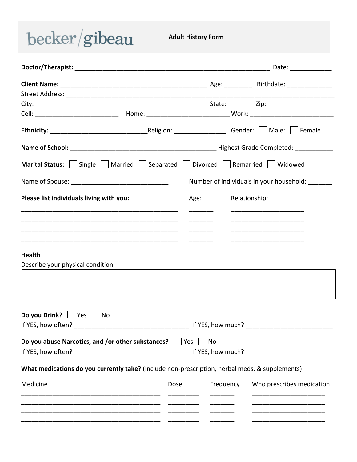## $becker/gibeau$

**Adult History Form** 

|                                                                                                |      |           |               | Date: ______________                                                                                                 |  |
|------------------------------------------------------------------------------------------------|------|-----------|---------------|----------------------------------------------------------------------------------------------------------------------|--|
|                                                                                                |      |           |               |                                                                                                                      |  |
|                                                                                                |      |           |               |                                                                                                                      |  |
|                                                                                                |      |           |               |                                                                                                                      |  |
|                                                                                                |      |           |               |                                                                                                                      |  |
|                                                                                                |      |           |               |                                                                                                                      |  |
|                                                                                                |      |           |               |                                                                                                                      |  |
| Marital Status:     Single     Married     Separated     Divorced     Remarried     Widowed    |      |           |               |                                                                                                                      |  |
|                                                                                                |      |           |               | Number of individuals in your household:                                                                             |  |
| Please list individuals living with you:                                                       |      | Age:      | Relationship: |                                                                                                                      |  |
| Describe your physical condition:                                                              |      |           |               |                                                                                                                      |  |
| Do you Drink? $ $ $ $ Yes $ $<br>No.                                                           |      |           |               |                                                                                                                      |  |
| Do you abuse Narcotics, and /or other substances? $\Box$ Yes $\Box$ No                         |      |           |               |                                                                                                                      |  |
| What medications do you currently take? (Include non-prescription, herbal meds, & supplements) |      |           |               |                                                                                                                      |  |
| Medicine                                                                                       | Dose | Frequency |               | Who prescribes medication                                                                                            |  |
| <u> 1990 - Johann John Stone, mars and deutscher Stone († 1900)</u>                            |      |           |               | <u> 1980 - Johann Barbara, martin amerikan basar dan basa dan basar dalam basa dalam basa dalam basa dalam basa </u> |  |
|                                                                                                |      |           |               |                                                                                                                      |  |